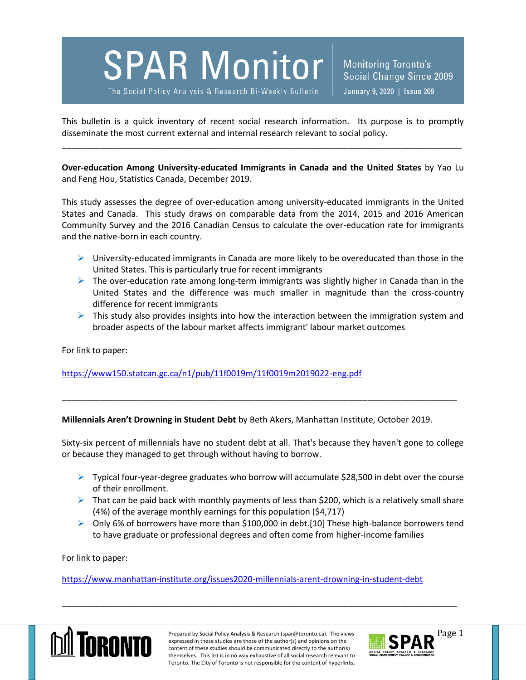**SPAR Monitor** 

The Social Policy Analysis & Research Bi-Weekly Bulletin

This bulletin is a quick inventory of recent social research information. Its purpose is to promptly disseminate the most current external and internal research relevant to social policy.

\_\_\_\_\_\_\_\_\_\_\_\_\_\_\_\_\_\_\_\_\_\_\_\_\_\_\_\_\_\_\_\_\_\_\_\_\_\_\_\_\_\_\_\_\_\_\_\_\_\_\_\_\_\_\_\_\_\_\_\_\_\_\_\_\_\_\_\_\_\_\_\_\_\_\_\_\_\_\_\_\_\_\_\_\_

**Over-education Among University-educated Immigrants in Canada and the United States** by Yao Lu and Feng Hou, Statistics Canada, December 2019.

This study assesses the degree of over-education among university-educated immigrants in the United States and Canada. This study draws on comparable data from the 2014, 2015 and 2016 American Community Survey and the 2016 Canadian Census to calculate the over-education rate for immigrants and the native-born in each country.

- $\triangleright$  University-educated immigrants in Canada are more likely to be overeducated than those in the United States. This is particularly true for recent immigrants
- $\triangleright$  The over-education rate among long-term immigrants was slightly higher in Canada than in the United States and the difference was much smaller in magnitude than the cross-country difference for recent immigrants
- $\triangleright$  This study also provides insights into how the interaction between the immigration system and broader aspects of the labour market affects immigrant' labour market outcomes

For link to paper:

<https://www150.statcan.gc.ca/n1/pub/11f0019m/11f0019m2019022-eng.pdf>

**Millennials Aren't Drowning in Student Debt** by Beth Akers, Manhattan Institute, October 2019.

Sixty-six percent of millennials have no student debt at all. That's because they haven't gone to college or because they managed to get through without having to borrow.

\_\_\_\_\_\_\_\_\_\_\_\_\_\_\_\_\_\_\_\_\_\_\_\_\_\_\_\_\_\_\_\_\_\_\_\_\_\_\_\_\_\_\_\_\_\_\_\_\_\_\_\_\_\_\_\_\_\_\_\_\_\_\_\_\_\_\_\_\_\_\_\_\_\_\_\_\_\_\_\_\_\_\_\_

- $\triangleright$  Typical four-year-degree graduates who borrow will accumulate \$28,500 in debt over the course of their enrollment.
- $\triangleright$  That can be paid back with monthly payments of less than \$200, which is a relatively small share (4%) of the average monthly earnings for this population (\$4,717)
- $\triangleright$  Only 6% of borrowers have more than \$100,000 in debt.[10] These high-balance borrowers tend to have graduate or professional degrees and often come from higher-income families

For link to paper:

<https://www.manhattan-institute.org/issues2020-millennials-arent-drowning-in-student-debt>



Prepared by Social Policy Analysis & Research (spar@toronto.ca). The views Page 1 expressed in these studies are those of the author(s) and opinions on the content of these studies should be communicated directly to the author(s) themselves. This list is in no way exhaustive of all social research relevant to Toronto. The City of Toronto is not responsible for the content of hyperlinks.

\_\_\_\_\_\_\_\_\_\_\_\_\_\_\_\_\_\_\_\_\_\_\_\_\_\_\_\_\_\_\_\_\_\_\_\_\_\_\_\_\_\_\_\_\_\_\_\_\_\_\_\_\_\_\_\_\_\_\_\_\_\_\_\_\_\_\_\_\_\_\_\_\_\_\_\_\_\_\_\_\_\_\_\_

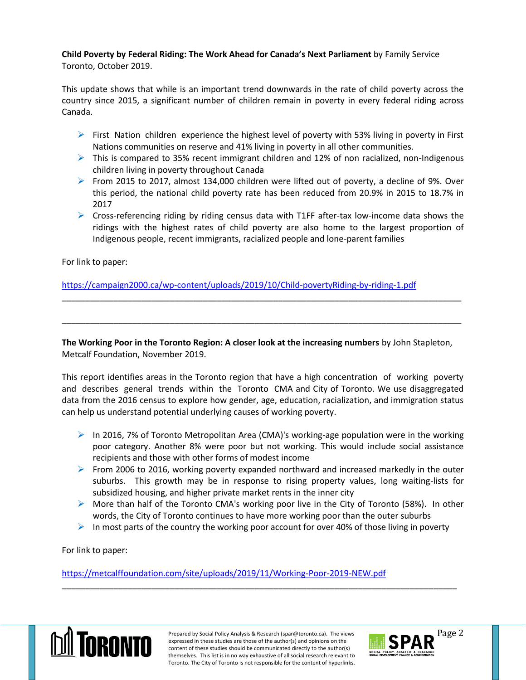**Child Poverty by Federal Riding: The Work Ahead for Canada's Next Parliament** by Family Service Toronto, October 2019.

This update shows that while is an important trend downwards in the rate of child poverty across the country since 2015, a significant number of children remain in poverty in every federal riding across Canada.

- $\triangleright$  First Nation children experience the highest level of poverty with 53% living in poverty in First Nations communities on reserve and 41% living in poverty in all other communities.
- $\triangleright$  This is compared to 35% recent immigrant children and 12% of non racialized, non-Indigenous children living in poverty throughout Canada
- From 2015 to 2017, almost 134,000 children were lifted out of poverty, a decline of 9%. Over this period, the national child poverty rate has been reduced from 20.9% in 2015 to 18.7% in 2017
- $\triangleright$  Cross-referencing riding by riding census data with T1FF after-tax low-income data shows the ridings with the highest rates of child poverty are also home to the largest proportion of Indigenous people, recent immigrants, racialized people and lone-parent families

For link to paper:

<https://campaign2000.ca/wp-content/uploads/2019/10/Child-povertyRiding-by-riding-1.pdf>

**The Working Poor in the Toronto Region: A closer look at the increasing numbers** by John Stapleton, Metcalf Foundation, November 2019.

\_\_\_\_\_\_\_\_\_\_\_\_\_\_\_\_\_\_\_\_\_\_\_\_\_\_\_\_\_\_\_\_\_\_\_\_\_\_\_\_\_\_\_\_\_\_\_\_\_\_\_\_\_\_\_\_\_\_\_\_\_\_\_\_\_\_\_\_\_\_\_\_\_\_\_\_\_\_\_\_\_\_\_\_\_

\_\_\_\_\_\_\_\_\_\_\_\_\_\_\_\_\_\_\_\_\_\_\_\_\_\_\_\_\_\_\_\_\_\_\_\_\_\_\_\_\_\_\_\_\_\_\_\_\_\_\_\_\_\_\_\_\_\_\_\_\_\_\_\_\_\_\_\_\_\_\_\_\_\_\_\_\_\_\_\_\_\_\_\_\_

This report identifies areas in the Toronto region that have a high concentration of working poverty and describes general trends within the Toronto CMA and City of Toronto. We use disaggregated data from the 2016 census to explore how gender, age, education, racialization, and immigration status can help us understand potential underlying causes of working poverty.

- In 2016, 7% of Toronto Metropolitan Area (CMA)'s working-age population were in the working poor category. Another 8% were poor but not working. This would include social assistance recipients and those with other forms of modest income
- From 2006 to 2016, working poverty expanded northward and increased markedly in the outer suburbs. This growth may be in response to rising property values, long waiting-lists for subsidized housing, and higher private market rents in the inner city
- $\triangleright$  More than half of the Toronto CMA's working poor live in the City of Toronto (58%). In other words, the City of Toronto continues to have more working poor than the outer suburbs
- $\triangleright$  In most parts of the country the working poor account for over 40% of those living in poverty

\_\_\_\_\_\_\_\_\_\_\_\_\_\_\_\_\_\_\_\_\_\_\_\_\_\_\_\_\_\_\_\_\_\_\_\_\_\_\_\_\_\_\_\_\_\_\_\_\_\_\_\_\_\_\_\_\_\_\_\_\_\_\_\_\_\_\_\_\_\_\_\_\_\_\_\_\_\_\_\_\_\_\_\_

For link to paper:

<https://metcalffoundation.com/site/uploads/2019/11/Working-Poor-2019-NEW.pdf>